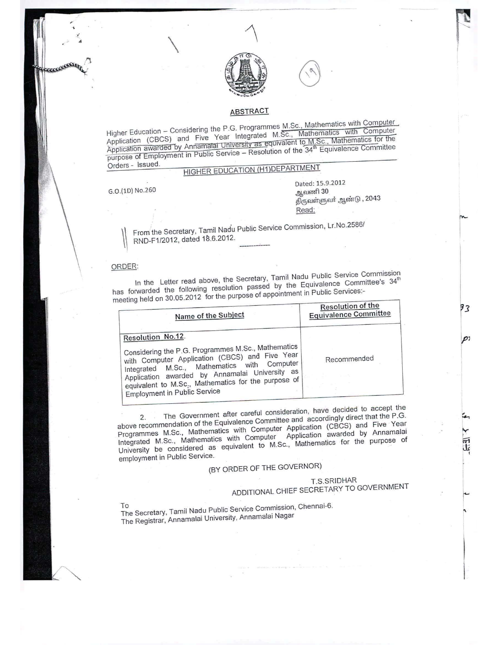

### ABSTRACT

Higher Education - Considering the P.G. Programmes M.Sc., Mathematics with Computer Higher Education – Considering the P.G. Programmes M.Sc., Mathematics with Computer<br>Application (CBCS) and Five Year Integrated M.Sc., Mathematics with Computer<br>Application awarded by Annamatai University as equivalent to Orders - Issued.

# HIGHER EDUCATION (H1)DEPARTMENT

G.O.(lD) Na.260

FEELEES

 $\overline{\phantom{0}}$ 

Dated: 15.9.2012 ஆவணி 30 திருவள்ளுவர் ஆண்டு , 2043 Read:

From the Secretary, Tamil Nadu Public Service Commission, Lr.No.2586/ RND-F1/2012, dated 18.6.2012.

#### ORDER:

In the Letter read above, the Secretary, Tamil Nadu Public Service Commission has forwarded the following resolution passed by the Equivalence Committee's 34<sup>th</sup>  $\mu$  measurement in Public services:  $\mu$  on 30.05.2012 for the purpose of appointment in Public Services:

| Name of the Subject                                                                                                                                                                                                                                                                                                      | <b>Resolution of the</b><br><b>Equivalence Committee</b> |
|--------------------------------------------------------------------------------------------------------------------------------------------------------------------------------------------------------------------------------------------------------------------------------------------------------------------------|----------------------------------------------------------|
| Resolution No.12.<br>Considering the P.G. Programmes M.Sc., Mathematics<br>with Computer Application (CBCS) and Five Year<br>Integrated M.Sc., Mathematics with Computer<br>Application awarded by Annamalai University as<br>equivalent to M.Sc., Mathematics for the purpose of<br><b>Employment in Public Service</b> | Recommended                                              |

The Government after careful consideration, have decided to accept the above recommendation of the Equivalence Committee and accordingly direct that the P.G. Programmes M.Sc., Mathematics with Computer Application (CBCS) and Five Year Integrated M.Sc., Mathematics with Computer Application awarded by Annamalai University be considered as equivalent to M.Sc., Mathematics for the purpose of employment in Public Service.

# (BY ORDER OF THE GOVERNOR)

### T.S,SRIDHAR ADDITIONAL CHIEF SECRETARY TO GOVERNMENT

•.•.. I Wi W,

r<br>.

93

O1

 $\mathfrak{l}_{-}$  $\ddot{\cdot}$ 

The Secretary, Tamil Nadu Public Service Commission, Chennai-6. The Registrar, Annamalai University, Annamalai Nagar